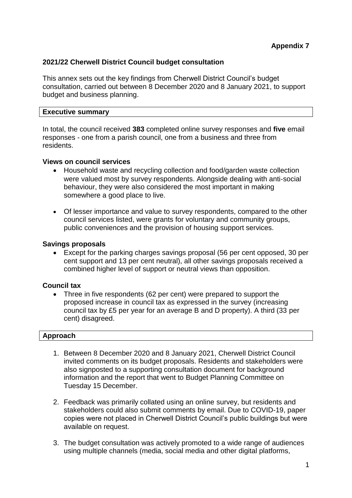# **2021/22 Cherwell District Council budget consultation**

This annex sets out the key findings from Cherwell District Council's budget consultation, carried out between 8 December 2020 and 8 January 2021, to support budget and business planning.

### **Executive summary**

In total, the council received **383** completed online survey responses and **five** email responses - one from a parish council, one from a business and three from residents.

## **Views on council services**

- Household waste and recycling collection and food/garden waste collection were valued most by survey respondents. Alongside dealing with anti-social behaviour, they were also considered the most important in making somewhere a good place to live.
- Of lesser importance and value to survey respondents, compared to the other council services listed, were grants for voluntary and community groups, public conveniences and the provision of housing support services.

### **Savings proposals**

 Except for the parking charges savings proposal (56 per cent opposed, 30 per cent support and 13 per cent neutral), all other savings proposals received a combined higher level of support or neutral views than opposition.

## **Council tax**

• Three in five respondents (62 per cent) were prepared to support the proposed increase in council tax as expressed in the survey (increasing council tax by £5 per year for an average B and D property). A third (33 per cent) disagreed.

#### **Approach**

- 1. Between 8 December 2020 and 8 January 2021, Cherwell District Council invited comments on its budget proposals. Residents and stakeholders were also signposted to a supporting consultation document for background information and the report that went to [Budget Planning Committee on](http://modgov.cherwell.gov.uk/ieListDocuments.aspx?CId=507&MId=3386)  [Tuesday 15 December.](http://modgov.cherwell.gov.uk/ieListDocuments.aspx?CId=507&MId=3386)
- 2. Feedback was primarily collated using an online survey, but residents and stakeholders could also submit comments by email. Due to COVID-19, paper copies were not placed in Cherwell District Council's public buildings but were available on request.
- 3. The budget consultation was actively promoted to a wide range of audiences using multiple channels (media, social media and other digital platforms,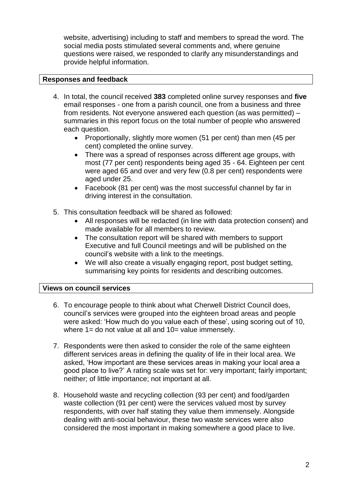website, advertising) including to staff and members to spread the word. The social media posts stimulated several comments and, where genuine questions were raised, we responded to clarify any misunderstandings and provide helpful information.

# **Responses and feedback**

- 4. In total, the council received **383** completed online survey responses and **five** email responses - one from a parish council, one from a business and three from residents. Not everyone answered each question (as was permitted) – summaries in this report focus on the total number of people who answered each question.
	- Proportionally, slightly more women (51 per cent) than men (45 per cent) completed the online survey.
	- There was a spread of responses across different age groups, with most (77 per cent) respondents being aged 35 - 64. Eighteen per cent were aged 65 and over and very few (0.8 per cent) respondents were aged under 25.
	- Facebook (81 per cent) was the most successful channel by far in driving interest in the consultation.
- 5. This consultation feedback will be shared as followed:
	- All responses will be redacted (in line with data protection consent) and made available for all members to review.
	- The consultation report will be shared with members to support Executive and full Council meetings and will be published on the council's website with a link to the meetings.
	- We will also create a visually engaging report, post budget setting, summarising key points for residents and describing outcomes.

## **Views on council services**

- 6. To encourage people to think about what Cherwell District Council does, council's services were grouped into the eighteen broad areas and people were asked: 'How much do you value each of these', using scoring out of 10, where  $1=$  do not value at all and  $10=$  value immensely.
- 7. Respondents were then asked to consider the role of the same eighteen different services areas in defining the quality of life in their local area. We asked, 'How important are these services areas in making your local area a good place to live?' A rating scale was set for: very important; fairly important; neither; of little importance; not important at all.
- 8. Household waste and recycling collection (93 per cent) and food/garden waste collection (91 per cent) were the services valued most by survey respondents, with over half stating they value them immensely. Alongside dealing with anti‐social behaviour, these two waste services were also considered the most important in making somewhere a good place to live.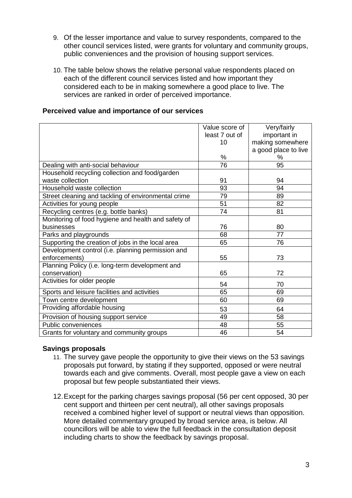- 9. Of the lesser importance and value to survey respondents, compared to the other council services listed, were grants for voluntary and community groups, public conveniences and the provision of housing support services.
- 10. The table below shows the relative personal value respondents placed on each of the different council services listed and how important they considered each to be in making somewhere a good place to live. The services are ranked in order of perceived importance.

# **Perceived value and importance of our services**

|                                                     | Value score of | Very/fairly          |
|-----------------------------------------------------|----------------|----------------------|
|                                                     |                |                      |
|                                                     | least 7 out of | important in         |
|                                                     | 10             | making somewhere     |
|                                                     |                | a good place to live |
|                                                     | %              | %                    |
| Dealing with anti-social behaviour                  | 76             | 95                   |
| Household recycling collection and food/garden      |                |                      |
| waste collection                                    | 91             | 94                   |
| Household waste collection                          | 93             | 94                   |
| Street cleaning and tackling of environmental crime | 79             | 89                   |
| Activities for young people                         | 51             | 82                   |
| Recycling centres (e.g. bottle banks)               | 74             | 81                   |
| Monitoring of food hygiene and health and safety of |                |                      |
| businesses                                          | 76             | 80                   |
| Parks and playgrounds                               | 68             | 77                   |
| Supporting the creation of jobs in the local area   | 65             | 76                   |
| Development control (i.e. planning permission and   |                |                      |
| enforcements)                                       | 55             | 73                   |
| Planning Policy (i.e. long-term development and     |                |                      |
| conservation)                                       | 65             | 72                   |
| Activities for older people                         | 54             | 70                   |
| Sports and leisure facilities and activities        | 65             | 69                   |
| Town centre development                             | 60             | 69                   |
| Providing affordable housing                        | 53             | 64                   |
| Provision of housing support service                | 49             | 58                   |
| Public conveniences                                 | 48             | 55                   |
| Grants for voluntary and community groups           | 46             | 54                   |

## **Savings proposals**

- 11. The survey gave people the opportunity to give their views on the 53 savings proposals put forward, by stating if they supported, opposed or were neutral towards each and give comments. Overall, most people gave a view on each proposal but few people substantiated their views.
- 12.Except for the parking charges savings proposal (56 per cent opposed, 30 per cent support and thirteen per cent neutral), all other savings proposals received a combined higher level of support or neutral views than opposition. More detailed commentary grouped by broad service area, is below. All councillors will be able to view the full feedback in the consultation deposit including charts to show the feedback by savings proposal.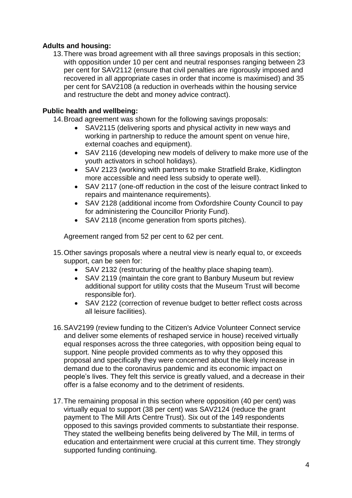# **Adults and housing:**

13.There was broad agreement with all three savings proposals in this section; with opposition under 10 per cent and neutral responses ranging between 23 per cent for SAV2112 (ensure that civil penalties are rigorously imposed and recovered in all appropriate cases in order that income is maximised) and 35 per cent for SAV2108 (a reduction in overheads within the housing service and restructure the debt and money advice contract).

# **Public health and wellbeing:**

- 14.Broad agreement was shown for the following savings proposals:
	- SAV2115 (delivering sports and physical activity in new ways and working in partnership to reduce the amount spent on venue hire, external coaches and equipment).
	- SAV 2116 (developing new models of delivery to make more use of the youth activators in school holidays).
	- SAV 2123 (working with partners to make Stratfield Brake, Kidlington more accessible and need less subsidy to operate well).
	- SAV 2117 (one-off reduction in the cost of the leisure contract linked to repairs and maintenance requirements).
	- SAV 2128 (additional income from Oxfordshire County Council to pay for administering the Councillor Priority Fund).
	- SAV 2118 (income generation from sports pitches).

Agreement ranged from 52 per cent to 62 per cent.

- 15.Other savings proposals where a neutral view is nearly equal to, or exceeds support, can be seen for:
	- SAV 2132 (restructuring of the healthy place shaping team).
	- SAV 2119 (maintain the core grant to Banbury Museum but review additional support for utility costs that the Museum Trust will become responsible for).
	- SAV 2122 (correction of revenue budget to better reflect costs across all leisure facilities).
- 16.SAV2199 (review funding to the Citizen's Advice Volunteer Connect service and deliver some elements of reshaped service in house) received virtually equal responses across the three categories, with opposition being equal to support. Nine people provided comments as to why they opposed this proposal and specifically they were concerned about the likely increase in demand due to the coronavirus pandemic and its economic impact on people's lives. They felt this service is greatly valued, and a decrease in their offer is a false economy and to the detriment of residents.
- 17.The remaining proposal in this section where opposition (40 per cent) was virtually equal to support (38 per cent) was SAV2124 (reduce the grant payment to The Mill Arts Centre Trust). Six out of the 149 respondents opposed to this savings provided comments to substantiate their response. They stated the wellbeing benefits being delivered by The Mill, in terms of education and entertainment were crucial at this current time. They strongly supported funding continuing.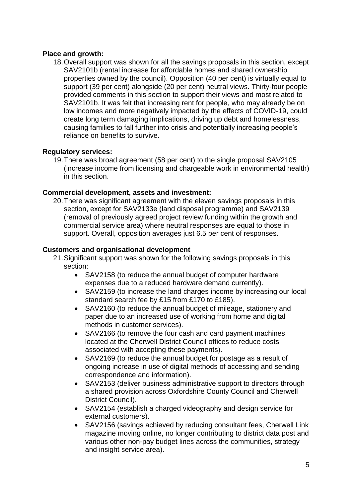# **Place and growth:**

18.Overall support was shown for all the savings proposals in this section, except SAV2101b (rental increase for affordable homes and shared ownership properties owned by the council). Opposition (40 per cent) is virtually equal to support (39 per cent) alongside (20 per cent) neutral views. Thirty-four people provided comments in this section to support their views and most related to SAV2101b. It was felt that increasing rent for people, who may already be on low incomes and more negatively impacted by the effects of COVID-19, could create long term damaging implications, driving up debt and homelessness, causing families to fall further into crisis and potentially increasing people's reliance on benefits to survive.

# **Regulatory services:**

19.There was broad agreement (58 per cent) to the single proposal SAV2105 (increase income from licensing and chargeable work in environmental health) in this section.

## **Commercial development, assets and investment:**

20.There was significant agreement with the eleven savings proposals in this section, except for SAV2133e (land disposal programme) and SAV2139 (removal of previously agreed project review funding within the growth and commercial service area) where neutral responses are equal to those in support. Overall, opposition averages just 6.5 per cent of responses.

# **Customers and organisational development**

- 21.Significant support was shown for the following savings proposals in this section:
	- SAV2158 (to reduce the annual budget of computer hardware expenses due to a reduced hardware demand currently).
	- SAV2159 (to increase the land charges income by increasing our local standard search fee by £15 from £170 to £185).
	- SAV2160 (to reduce the annual budget of mileage, stationery and paper due to an increased use of working from home and digital methods in customer services).
	- SAV2166 (to remove the four cash and card payment machines located at the Cherwell District Council offices to reduce costs associated with accepting these payments).
	- SAV2169 (to reduce the annual budget for postage as a result of ongoing increase in use of digital methods of accessing and sending correspondence and information).
	- SAV2153 (deliver business administrative support to directors through a shared provision across Oxfordshire County Council and Cherwell District Council).
	- SAV2154 (establish a charged videography and design service for external customers).
	- SAV2156 (savings achieved by reducing consultant fees, Cherwell Link magazine moving online, no longer contributing to district data post and various other non-pay budget lines across the communities, strategy and insight service area).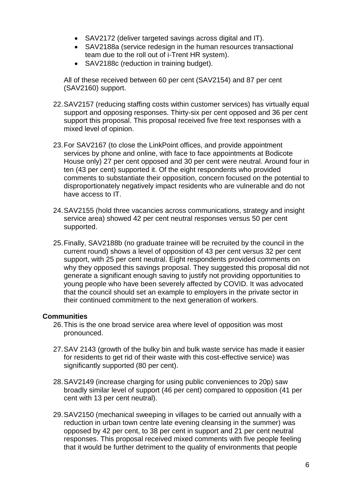- SAV2172 (deliver targeted savings across digital and IT).
- SAV2188a (service redesign in the human resources transactional team due to the roll out of i-Trent HR system).
- SAV2188c (reduction in training budget).

All of these received between 60 per cent (SAV2154) and 87 per cent (SAV2160) support.

- 22.SAV2157 (reducing staffing costs within customer services) has virtually equal support and opposing responses. Thirty-six per cent opposed and 36 per cent support this proposal. This proposal received five free text responses with a mixed level of opinion.
- 23.For SAV2167 (to close the LinkPoint offices, and provide appointment services by phone and online, with face to face appointments at Bodicote House only) 27 per cent opposed and 30 per cent were neutral. Around four in ten (43 per cent) supported it. Of the eight respondents who provided comments to substantiate their opposition, concern focused on the potential to disproportionately negatively impact residents who are vulnerable and do not have access to IT.
- 24.SAV2155 (hold three vacancies across communications, strategy and insight service area) showed 42 per cent neutral responses versus 50 per cent supported.
- 25.Finally, SAV2188b (no graduate trainee will be recruited by the council in the current round) shows a level of opposition of 43 per cent versus 32 per cent support, with 25 per cent neutral. Eight respondents provided comments on why they opposed this savings proposal. They suggested this proposal did not generate a significant enough saving to justify not providing opportunities to young people who have been severely affected by COVID. It was advocated that the council should set an example to employers in the private sector in their continued commitment to the next generation of workers.

## **Communities**

- 26.This is the one broad service area where level of opposition was most pronounced.
- 27.SAV 2143 (growth of the bulky bin and bulk waste service has made it easier for residents to get rid of their waste with this cost-effective service) was significantly supported (80 per cent).
- 28.SAV2149 (increase charging for using public conveniences to 20p) saw broadly similar level of support (46 per cent) compared to opposition (41 per cent with 13 per cent neutral).
- 29.SAV2150 (mechanical sweeping in villages to be carried out annually with a reduction in urban town centre late evening cleansing in the summer) was opposed by 42 per cent, to 38 per cent in support and 21 per cent neutral responses. This proposal received mixed comments with five people feeling that it would be further detriment to the quality of environments that people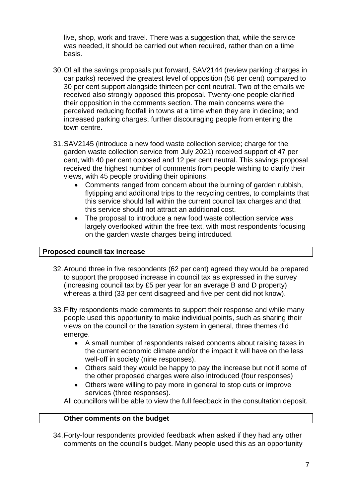live, shop, work and travel. There was a suggestion that, while the service was needed, it should be carried out when required, rather than on a time basis.

- 30.Of all the savings proposals put forward, SAV2144 (review parking charges in car parks) received the greatest level of opposition (56 per cent) compared to 30 per cent support alongside thirteen per cent neutral. Two of the emails we received also strongly opposed this proposal. Twenty-one people clarified their opposition in the comments section. The main concerns were the perceived reducing footfall in towns at a time when they are in decline; and increased parking charges, further discouraging people from entering the town centre.
- 31.SAV2145 (introduce a new food waste collection service; charge for the garden waste collection service from July 2021) received support of 47 per cent, with 40 per cent opposed and 12 per cent neutral. This savings proposal received the highest number of comments from people wishing to clarify their views, with 45 people providing their opinions.
	- Comments ranged from concern about the burning of garden rubbish, flytipping and additional trips to the recycling centres, to complaints that this service should fall within the current council tax charges and that this service should not attract an additional cost.
	- The proposal to introduce a new food waste collection service was largely overlooked within the free text, with most respondents focusing on the garden waste charges being introduced.

#### **Proposed council tax increase**

- 32.Around three in five respondents (62 per cent) agreed they would be prepared to support the proposed increase in council tax as expressed in the survey (increasing council tax by £5 per year for an average B and D property) whereas a third (33 per cent disagreed and five per cent did not know).
- 33.Fifty respondents made comments to support their response and while many people used this opportunity to make individual points, such as sharing their views on the council or the taxation system in general, three themes did emerge.
	- A small number of respondents raised concerns about raising taxes in the current economic climate and/or the impact it will have on the less well-off in society (nine responses).
	- Others said they would be happy to pay the increase but not if some of the other proposed charges were also introduced (four responses)
	- Others were willing to pay more in general to stop cuts or improve services (three responses).

All councillors will be able to view the full feedback in the consultation deposit.

#### **Other comments on the budget**

34.Forty-four respondents provided feedback when asked if they had any other comments on the council's budget. Many people used this as an opportunity